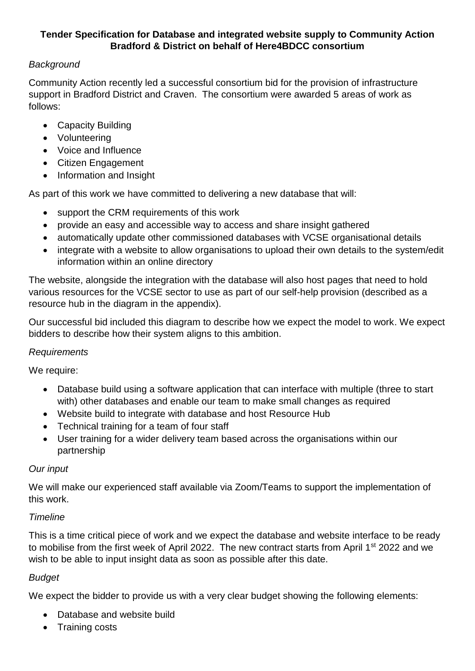### **Tender Specification for Database and integrated website supply to Community Action Bradford & District on behalf of Here4BDCC consortium**

## *Background*

Community Action recently led a successful consortium bid for the provision of infrastructure support in Bradford District and Craven. The consortium were awarded 5 areas of work as follows:

- Capacity Building
- Volunteering
- Voice and Influence
- Citizen Engagement
- Information and Insight

As part of this work we have committed to delivering a new database that will:

- support the CRM requirements of this work
- provide an easy and accessible way to access and share insight gathered
- automatically update other commissioned databases with VCSE organisational details
- integrate with a website to allow organisations to upload their own details to the system/edit information within an online directory

The website, alongside the integration with the database will also host pages that need to hold various resources for the VCSE sector to use as part of our self-help provision (described as a resource hub in the diagram in the appendix).

Our successful bid included this diagram to describe how we expect the model to work. We expect bidders to describe how their system aligns to this ambition.

### *Requirements*

We require:

- Database build using a software application that can interface with multiple (three to start with) other databases and enable our team to make small changes as required
- Website build to integrate with database and host Resource Hub
- Technical training for a team of four staff
- User training for a wider delivery team based across the organisations within our partnership

### *Our input*

We will make our experienced staff available via Zoom/Teams to support the implementation of this work.

# *Timeline*

This is a time critical piece of work and we expect the database and website interface to be ready to mobilise from the first week of April 2022. The new contract starts from April 1<sup>st</sup> 2022 and we wish to be able to input insight data as soon as possible after this date.

# *Budget*

We expect the bidder to provide us with a very clear budget showing the following elements:

- Database and website build
- Training costs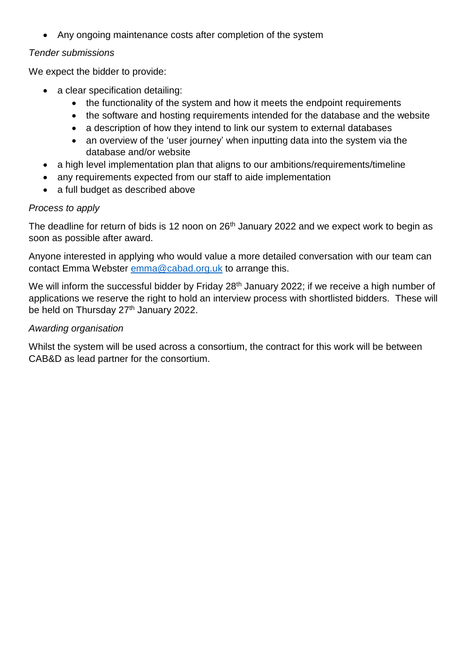• Any ongoing maintenance costs after completion of the system

### *Tender submissions*

We expect the bidder to provide:

- a clear specification detailing:
	- the functionality of the system and how it meets the endpoint requirements
	- the software and hosting requirements intended for the database and the website
	- a description of how they intend to link our system to external databases
	- an overview of the 'user journey' when inputting data into the system via the database and/or website
- a high level implementation plan that aligns to our ambitions/requirements/timeline
- any requirements expected from our staff to aide implementation
- a full budget as described above

### *Process to apply*

The deadline for return of bids is 12 noon on 26<sup>th</sup> January 2022 and we expect work to begin as soon as possible after award.

Anyone interested in applying who would value a more detailed conversation with our team can contact Emma Webster [emma@cabad.org.uk](mailto:emma@cabad.org.uk) to arrange this.

We will inform the successful bidder by Friday 28<sup>th</sup> January 2022; if we receive a high number of applications we reserve the right to hold an interview process with shortlisted bidders. These will be held on Thursday 27<sup>th</sup> January 2022.

### *Awarding organisation*

Whilst the system will be used across a consortium, the contract for this work will be between CAB&D as lead partner for the consortium.